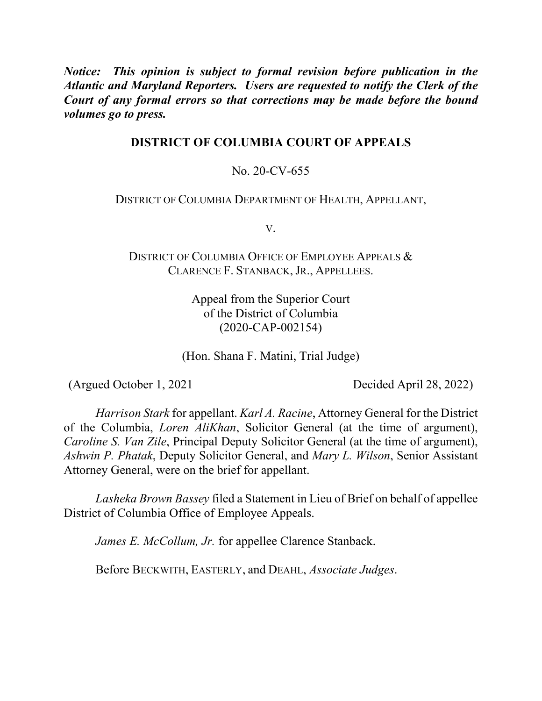*Notice: This opinion is subject to formal revision before publication in the Atlantic and Maryland Reporters. Users are requested to notify the Clerk of the Court of any formal errors so that corrections may be made before the bound volumes go to press.*

# **DISTRICT OF COLUMBIA COURT OF APPEALS**

# No. 20-CV-655

## DISTRICT OF COLUMBIA DEPARTMENT OF HEALTH, APPELLANT,

V.

DISTRICT OF COLUMBIA OFFICE OF EMPLOYEE APPEALS & CLARENCE F. STANBACK, JR., APPELLEES.

> Appeal from the Superior Court of the District of Columbia (2020-CAP-002154)

(Hon. Shana F. Matini, Trial Judge)

(Argued October 1, 2021 Decided April 28, 2022)

*Harrison Stark* for appellant. *Karl A. Racine*, Attorney General for the District of the Columbia, *Loren AliKhan*, Solicitor General (at the time of argument), *Caroline S. Van Zile*, Principal Deputy Solicitor General (at the time of argument), *Ashwin P. Phatak*, Deputy Solicitor General, and *Mary L. Wilson*, Senior Assistant Attorney General, were on the brief for appellant.

*Lasheka Brown Bassey* filed a Statement in Lieu of Brief on behalf of appellee District of Columbia Office of Employee Appeals.

*James E. McCollum, Jr.* for appellee Clarence Stanback.

Before BECKWITH, EASTERLY, and DEAHL, *Associate Judges*.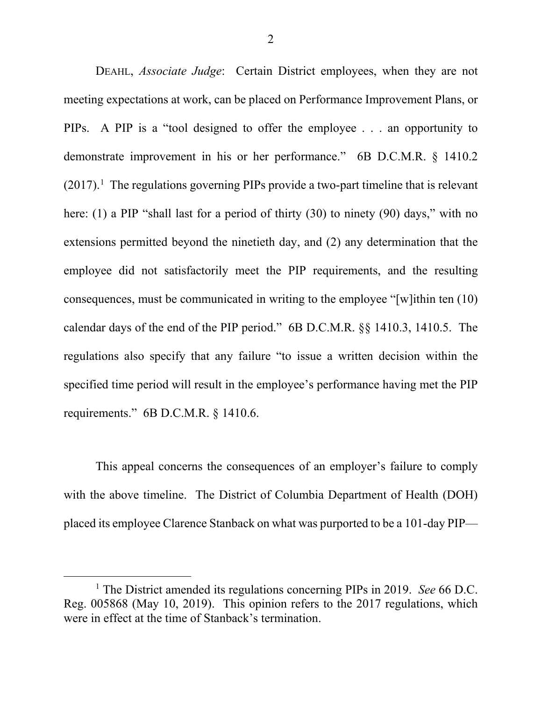DEAHL, *Associate Judge*: Certain District employees, when they are not meeting expectations at work, can be placed on Performance Improvement Plans, or PIPs. A PIP is a "tool designed to offer the employee . . . an opportunity to demonstrate improvement in his or her performance." 6B D.C.M.R. § 1410.2  $(2017).$ <sup>1</sup> The regulations governing PIPs provide a two-part timeline that is relevant here: (1) a PIP "shall last for a period of thirty (30) to ninety (90) days," with no extensions permitted beyond the ninetieth day, and (2) any determination that the employee did not satisfactorily meet the PIP requirements, and the resulting consequences, must be communicated in writing to the employee "[w]ithin ten (10) calendar days of the end of the PIP period." 6B D.C.M.R. §§ 1410.3, 1410.5. The regulations also specify that any failure "to issue a written decision within the specified time period will result in the employee's performance having met the PIP requirements." 6B D.C.M.R. § 1410.6.

This appeal concerns the consequences of an employer's failure to comply with the above timeline. The District of Columbia Department of Health (DOH) placed its employee Clarence Stanback on what was purported to be a 101-day PIP—

 <sup>1</sup> The District amended its regulations concerning PIPs in 2019. *See* 66 D.C. Reg. 005868 (May 10, 2019). This opinion refers to the 2017 regulations, which were in effect at the time of Stanback's termination.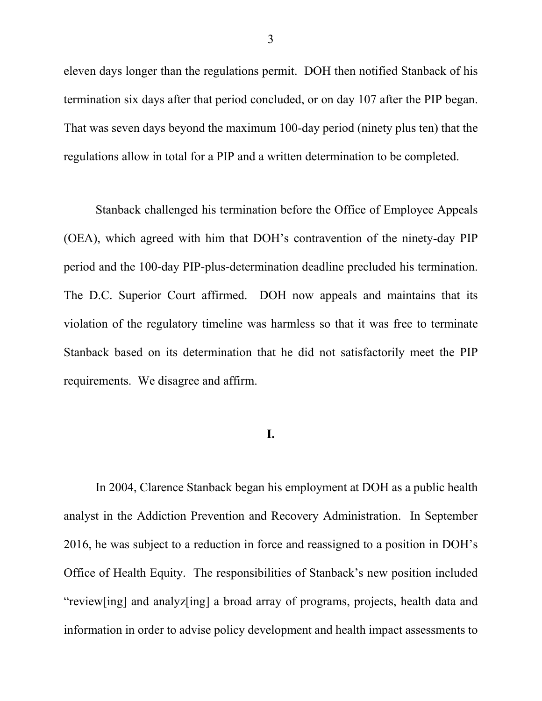eleven days longer than the regulations permit. DOH then notified Stanback of his termination six days after that period concluded, or on day 107 after the PIP began. That was seven days beyond the maximum 100-day period (ninety plus ten) that the regulations allow in total for a PIP and a written determination to be completed.

Stanback challenged his termination before the Office of Employee Appeals (OEA), which agreed with him that DOH's contravention of the ninety-day PIP period and the 100-day PIP-plus-determination deadline precluded his termination. The D.C. Superior Court affirmed. DOH now appeals and maintains that its violation of the regulatory timeline was harmless so that it was free to terminate Stanback based on its determination that he did not satisfactorily meet the PIP requirements. We disagree and affirm.

## **I.**

In 2004, Clarence Stanback began his employment at DOH as a public health analyst in the Addiction Prevention and Recovery Administration. In September 2016, he was subject to a reduction in force and reassigned to a position in DOH's Office of Health Equity. The responsibilities of Stanback's new position included "review[ing] and analyz[ing] a broad array of programs, projects, health data and information in order to advise policy development and health impact assessments to

3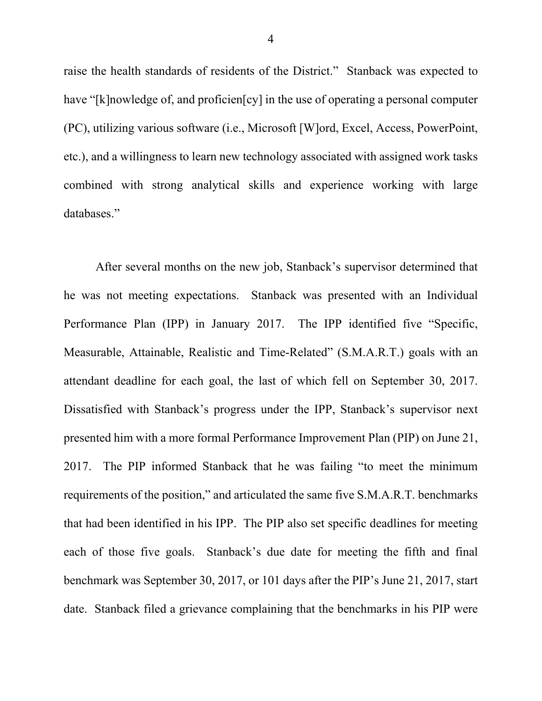raise the health standards of residents of the District." Stanback was expected to have "[k]nowledge of, and proficien[cy] in the use of operating a personal computer (PC), utilizing various software (i.e., Microsoft [W]ord, Excel, Access, PowerPoint, etc.), and a willingness to learn new technology associated with assigned work tasks combined with strong analytical skills and experience working with large databases."

After several months on the new job, Stanback's supervisor determined that he was not meeting expectations. Stanback was presented with an Individual Performance Plan (IPP) in January 2017. The IPP identified five "Specific, Measurable, Attainable, Realistic and Time-Related" (S.M.A.R.T.) goals with an attendant deadline for each goal, the last of which fell on September 30, 2017. Dissatisfied with Stanback's progress under the IPP, Stanback's supervisor next presented him with a more formal Performance Improvement Plan (PIP) on June 21, 2017. The PIP informed Stanback that he was failing "to meet the minimum requirements of the position," and articulated the same five S.M.A.R.T. benchmarks that had been identified in his IPP. The PIP also set specific deadlines for meeting each of those five goals. Stanback's due date for meeting the fifth and final benchmark was September 30, 2017, or 101 days after the PIP's June 21, 2017, start date. Stanback filed a grievance complaining that the benchmarks in his PIP were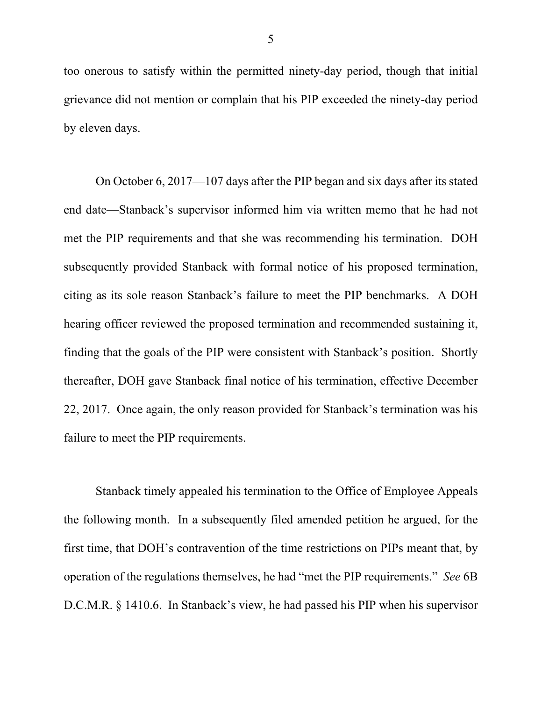too onerous to satisfy within the permitted ninety-day period, though that initial grievance did not mention or complain that his PIP exceeded the ninety-day period by eleven days.

On October 6, 2017—107 days after the PIP began and six days after its stated end date—Stanback's supervisor informed him via written memo that he had not met the PIP requirements and that she was recommending his termination. DOH subsequently provided Stanback with formal notice of his proposed termination, citing as its sole reason Stanback's failure to meet the PIP benchmarks. A DOH hearing officer reviewed the proposed termination and recommended sustaining it, finding that the goals of the PIP were consistent with Stanback's position. Shortly thereafter, DOH gave Stanback final notice of his termination, effective December 22, 2017. Once again, the only reason provided for Stanback's termination was his failure to meet the PIP requirements.

Stanback timely appealed his termination to the Office of Employee Appeals the following month. In a subsequently filed amended petition he argued, for the first time, that DOH's contravention of the time restrictions on PIPs meant that, by operation of the regulations themselves, he had "met the PIP requirements." *See* 6B D.C.M.R. § 1410.6. In Stanback's view, he had passed his PIP when his supervisor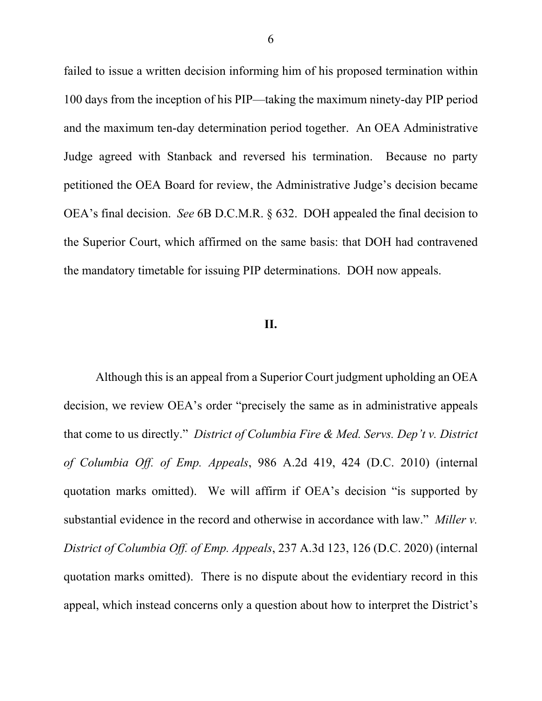failed to issue a written decision informing him of his proposed termination within 100 days from the inception of his PIP—taking the maximum ninety-day PIP period and the maximum ten-day determination period together. An OEA Administrative Judge agreed with Stanback and reversed his termination. Because no party petitioned the OEA Board for review, the Administrative Judge's decision became OEA's final decision. *See* 6B D.C.M.R. § 632. DOH appealed the final decision to the Superior Court, which affirmed on the same basis: that DOH had contravened the mandatory timetable for issuing PIP determinations. DOH now appeals.

### **II.**

Although this is an appeal from a Superior Court judgment upholding an OEA decision, we review OEA's order "precisely the same as in administrative appeals that come to us directly." *District of Columbia Fire & Med. Servs. Dep't v. District of Columbia Off. of Emp. Appeals*, 986 A.2d 419, 424 (D.C. 2010) (internal quotation marks omitted). We will affirm if OEA's decision "is supported by substantial evidence in the record and otherwise in accordance with law." *Miller v. District of Columbia Off. of Emp. Appeals*, 237 A.3d 123, 126 (D.C. 2020) (internal quotation marks omitted). There is no dispute about the evidentiary record in this appeal, which instead concerns only a question about how to interpret the District's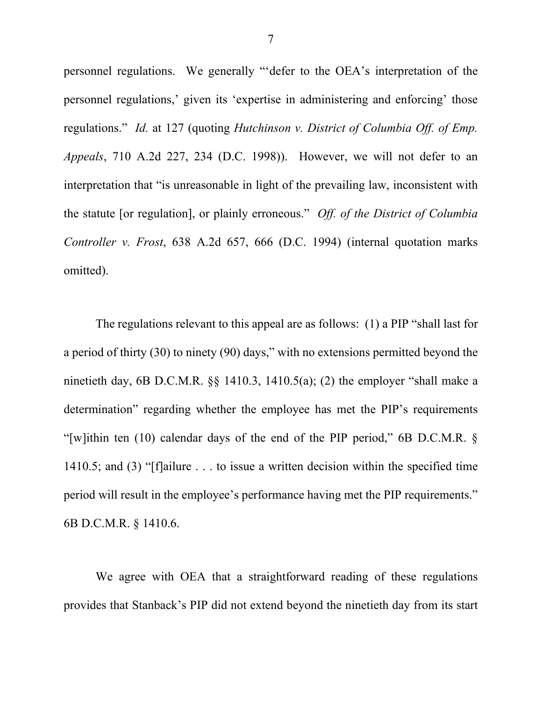personnel regulations. We generally "'defer to the OEA's interpretation of the personnel regulations,' given its 'expertise in administering and enforcing' those regulations." *Id.* at 127 (quoting *Hutchinson v. District of Columbia Off. of Emp. Appeals*, 710 A.2d 227, 234 (D.C. 1998)). However, we will not defer to an interpretation that "is unreasonable in light of the prevailing law, inconsistent with the statute [or regulation], or plainly erroneous." *Off. of the District of Columbia Controller v. Frost*, 638 A.2d 657, 666 (D.C. 1994) (internal quotation marks omitted).

The regulations relevant to this appeal are as follows: (1) a PIP "shall last for a period of thirty (30) to ninety (90) days," with no extensions permitted beyond the ninetieth day, 6B D.C.M.R. §§ 1410.3, 1410.5(a); (2) the employer "shall make a determination" regarding whether the employee has met the PIP's requirements "[w]ithin ten (10) calendar days of the end of the PIP period," 6B D.C.M.R. § 1410.5; and (3) "[f]ailure . . . to issue a written decision within the specified time period will result in the employee's performance having met the PIP requirements." 6B D.C.M.R. § 1410.6.

We agree with OEA that a straightforward reading of these regulations provides that Stanback's PIP did not extend beyond the ninetieth day from its start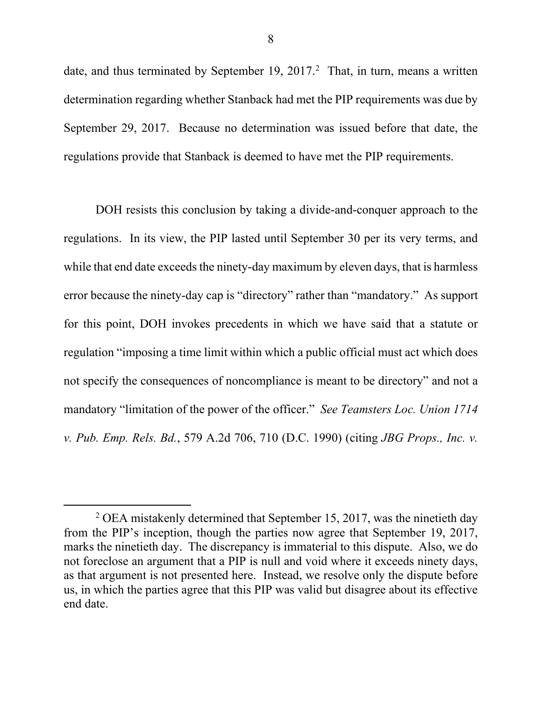date, and thus terminated by September 19, 2017.<sup>2</sup> That, in turn, means a written determination regarding whether Stanback had met the PIP requirements was due by September 29, 2017. Because no determination was issued before that date, the regulations provide that Stanback is deemed to have met the PIP requirements.

DOH resists this conclusion by taking a divide-and-conquer approach to the regulations. In its view, the PIP lasted until September 30 per its very terms, and while that end date exceeds the ninety-day maximum by eleven days, that is harmless error because the ninety-day cap is "directory" rather than "mandatory." As support for this point, DOH invokes precedents in which we have said that a statute or regulation "imposing a time limit within which a public official must act which does not specify the consequences of noncompliance is meant to be directory" and not a mandatory "limitation of the power of the officer." *See Teamsters Loc. Union 1714 v. Pub. Emp. Rels. Bd.*, 579 A.2d 706, 710 (D.C. 1990) (citing *JBG Props., Inc. v.* 

 $2$  OEA mistakenly determined that September 15, 2017, was the ninetieth day from the PIP's inception, though the parties now agree that September 19, 2017, marks the ninetieth day. The discrepancy is immaterial to this dispute. Also, we do not foreclose an argument that a PIP is null and void where it exceeds ninety days, as that argument is not presented here. Instead, we resolve only the dispute before us, in which the parties agree that this PIP was valid but disagree about its effective end date.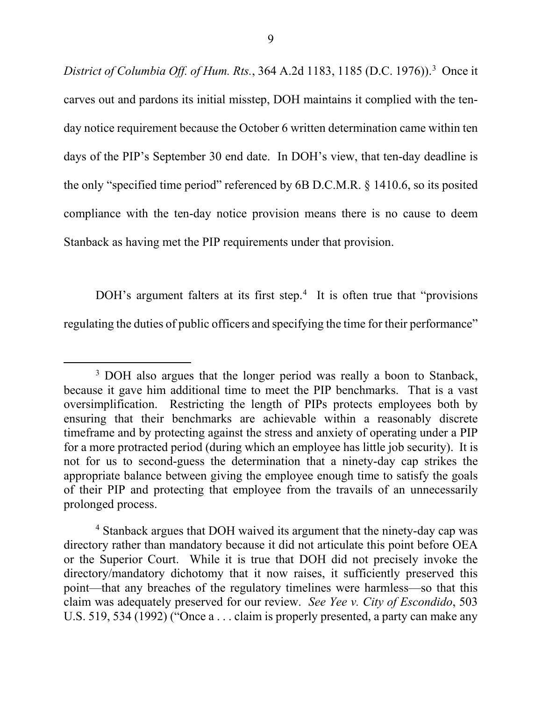*District of Columbia Off. of Hum. Rts.*, 364 A.2d 1183, 1185 (D.C. 1976)). 3 Once it carves out and pardons its initial misstep, DOH maintains it complied with the tenday notice requirement because the October 6 written determination came within ten days of the PIP's September 30 end date. In DOH's view, that ten-day deadline is the only "specified time period" referenced by 6B D.C.M.R. § 1410.6, so its posited compliance with the ten-day notice provision means there is no cause to deem Stanback as having met the PIP requirements under that provision.

DOH's argument falters at its first step.<sup>4</sup> It is often true that "provisions" regulating the duties of public officers and specifying the time for their performance"

<sup>&</sup>lt;sup>3</sup> DOH also argues that the longer period was really a boon to Stanback, because it gave him additional time to meet the PIP benchmarks. That is a vast oversimplification. Restricting the length of PIPs protects employees both by ensuring that their benchmarks are achievable within a reasonably discrete timeframe and by protecting against the stress and anxiety of operating under a PIP for a more protracted period (during which an employee has little job security). It is not for us to second-guess the determination that a ninety-day cap strikes the appropriate balance between giving the employee enough time to satisfy the goals of their PIP and protecting that employee from the travails of an unnecessarily prolonged process.

<sup>4</sup> Stanback argues that DOH waived its argument that the ninety-day cap was directory rather than mandatory because it did not articulate this point before OEA or the Superior Court. While it is true that DOH did not precisely invoke the directory/mandatory dichotomy that it now raises, it sufficiently preserved this point—that any breaches of the regulatory timelines were harmless—so that this claim was adequately preserved for our review. *See Yee v. City of Escondido*, 503 U.S. 519, 534 (1992) ("Once a . . . claim is properly presented, a party can make any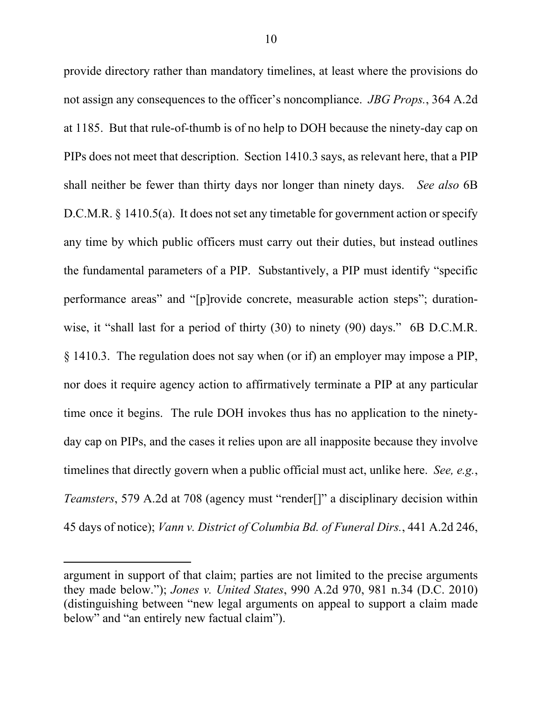provide directory rather than mandatory timelines, at least where the provisions do not assign any consequences to the officer's noncompliance. *JBG Props.*, 364 A.2d at 1185. But that rule-of-thumb is of no help to DOH because the ninety-day cap on PIPs does not meet that description. Section 1410.3 says, as relevant here, that a PIP shall neither be fewer than thirty days nor longer than ninety days. *See also* 6B D.C.M.R.  $\S$  1410.5(a). It does not set any timetable for government action or specify any time by which public officers must carry out their duties, but instead outlines the fundamental parameters of a PIP. Substantively, a PIP must identify "specific performance areas" and "[p]rovide concrete, measurable action steps"; durationwise, it "shall last for a period of thirty (30) to ninety (90) days." 6B D.C.M.R. § 1410.3. The regulation does not say when (or if) an employer may impose a PIP, nor does it require agency action to affirmatively terminate a PIP at any particular time once it begins. The rule DOH invokes thus has no application to the ninetyday cap on PIPs, and the cases it relies upon are all inapposite because they involve timelines that directly govern when a public official must act, unlike here. *See, e.g.*, *Teamsters*, 579 A.2d at 708 (agency must "render[]" a disciplinary decision within 45 days of notice); *Vann v. District of Columbia Bd. of Funeral Dirs.*, 441 A.2d 246,

 $\overline{a}$ 

argument in support of that claim; parties are not limited to the precise arguments they made below."); *Jones v. United States*, 990 A.2d 970, 981 n.34 (D.C. 2010) (distinguishing between "new legal arguments on appeal to support a claim made below" and "an entirely new factual claim").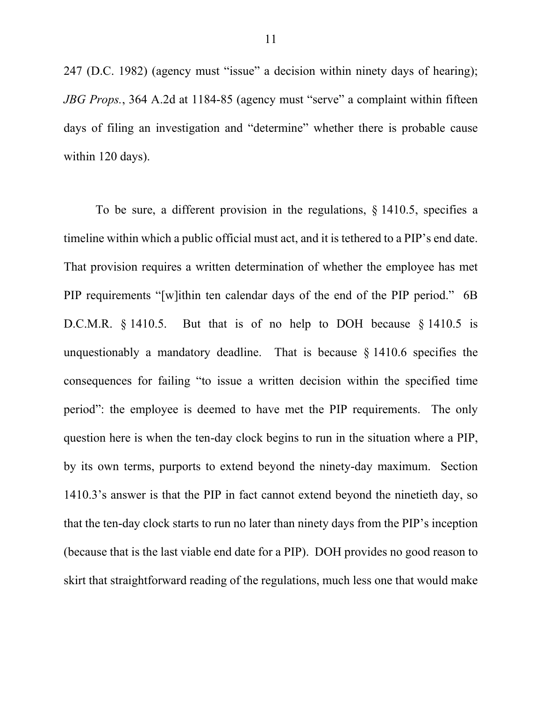247 (D.C. 1982) (agency must "issue" a decision within ninety days of hearing); *JBG Props.*, 364 A.2d at 1184-85 (agency must "serve" a complaint within fifteen days of filing an investigation and "determine" whether there is probable cause within 120 days).

To be sure, a different provision in the regulations, § 1410.5, specifies a timeline within which a public official must act, and it is tethered to a PIP's end date. That provision requires a written determination of whether the employee has met PIP requirements "[w]ithin ten calendar days of the end of the PIP period." 6B D.C.M.R. § 1410.5. But that is of no help to DOH because § 1410.5 is unquestionably a mandatory deadline. That is because  $\S$  1410.6 specifies the consequences for failing "to issue a written decision within the specified time period": the employee is deemed to have met the PIP requirements. The only question here is when the ten-day clock begins to run in the situation where a PIP, by its own terms, purports to extend beyond the ninety-day maximum. Section 1410.3's answer is that the PIP in fact cannot extend beyond the ninetieth day, so that the ten-day clock starts to run no later than ninety days from the PIP's inception (because that is the last viable end date for a PIP). DOH provides no good reason to skirt that straightforward reading of the regulations, much less one that would make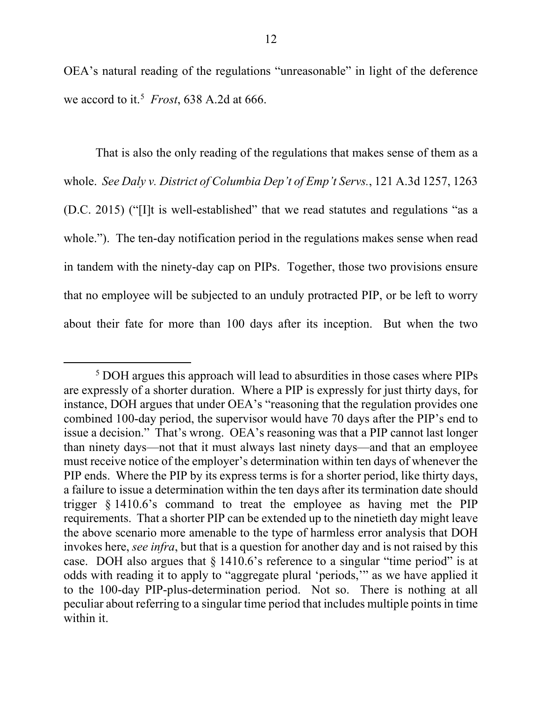OEA's natural reading of the regulations "unreasonable" in light of the deference we accord to it.5 *Frost*, 638 A.2d at 666.

That is also the only reading of the regulations that makes sense of them as a whole. *See Daly v. District of Columbia Dep't of Emp't Servs.*, 121 A.3d 1257, 1263 (D.C. 2015) ("[I]t is well-established" that we read statutes and regulations "as a whole."). The ten-day notification period in the regulations makes sense when read in tandem with the ninety-day cap on PIPs. Together, those two provisions ensure that no employee will be subjected to an unduly protracted PIP, or be left to worry about their fate for more than 100 days after its inception. But when the two

 <sup>5</sup> DOH argues this approach will lead to absurdities in those cases where PIPs are expressly of a shorter duration. Where a PIP is expressly for just thirty days, for instance, DOH argues that under OEA's "reasoning that the regulation provides one combined 100-day period, the supervisor would have 70 days after the PIP's end to issue a decision." That's wrong. OEA's reasoning was that a PIP cannot last longer than ninety days—not that it must always last ninety days—and that an employee must receive notice of the employer's determination within ten days of whenever the PIP ends. Where the PIP by its express terms is for a shorter period, like thirty days, a failure to issue a determination within the ten days after its termination date should trigger § 1410.6's command to treat the employee as having met the PIP requirements. That a shorter PIP can be extended up to the ninetieth day might leave the above scenario more amenable to the type of harmless error analysis that DOH invokes here, *see infra*, but that is a question for another day and is not raised by this case. DOH also argues that § 1410.6's reference to a singular "time period" is at odds with reading it to apply to "aggregate plural 'periods,'" as we have applied it to the 100-day PIP-plus-determination period. Not so. There is nothing at all peculiar about referring to a singular time period that includes multiple points in time within it.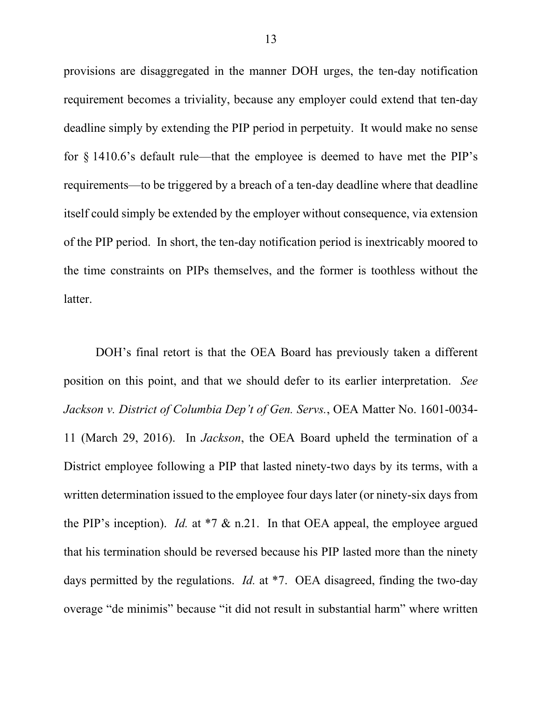provisions are disaggregated in the manner DOH urges, the ten-day notification requirement becomes a triviality, because any employer could extend that ten-day deadline simply by extending the PIP period in perpetuity. It would make no sense for  $\S$  1410.6's default rule—that the employee is deemed to have met the PIP's requirements—to be triggered by a breach of a ten-day deadline where that deadline itself could simply be extended by the employer without consequence, via extension of the PIP period. In short, the ten-day notification period is inextricably moored to the time constraints on PIPs themselves, and the former is toothless without the latter.

DOH's final retort is that the OEA Board has previously taken a different position on this point, and that we should defer to its earlier interpretation. *See Jackson v. District of Columbia Dep't of Gen. Servs.*, OEA Matter No. 1601-0034- 11 (March 29, 2016). In *Jackson*, the OEA Board upheld the termination of a District employee following a PIP that lasted ninety-two days by its terms, with a written determination issued to the employee four days later (or ninety-six days from the PIP's inception). *Id.* at \*7 & n.21. In that OEA appeal, the employee argued that his termination should be reversed because his PIP lasted more than the ninety days permitted by the regulations. *Id.* at \*7. OEA disagreed, finding the two-day overage "de minimis" because "it did not result in substantial harm" where written